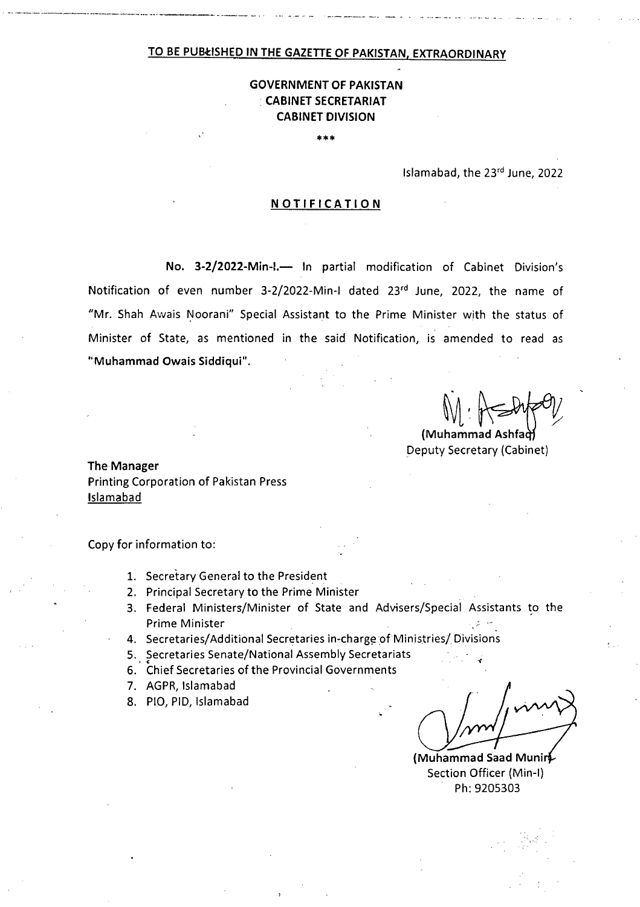### **TO BE PURISHED IN THE GAZETTE OF PAKISTAN, EXTRAORDINARY**

## **GOVERNMENT OF PAKISTAN CABINET SECRETARIAT CABINET DIVISION**

\*\*\*

Islamabad, the 23rd June, 2022

### **NOTIFICATION**

No. 3-2/2022-Min-I.- In partial modification of Cabinet Division's Notification of even number 3-2/2022-Min-I dated 23rd June, 2022, the name of "Mr. Shah Awais Noorani" Special Assistant to the Prime Minister with the status of Minister of State, as mentioned in the said Notification, is amended to read as **"Muhammad Owais Siddiqui".** 

**(Muhammad As** Deputy Secretary (Cabinet)

**The Manager**  Printing Corporation of Pakistan Press Islamabad

Copy for information to:

- 1. Secretary General to the President
- 2. Principal Secretary to the Prime Minister
- Federal Ministers/Minister of State and Advisers/Special Assistants to the Prime Minister
- 4. Secretaries/Additional Secretaries in-charge of Ministries/ Divisions
- Secretaries Senate/National Assembly Secretariats
- Chief Secretaries of the Provincial Governments
- 7. AGPR, Islamabad
- 8. PIO, PID, Islamabad

 $\mathcal{M}/\mathcal{M}$ 

**(Muhammad Saad Muni**  Section Officer (Min-I) Ph: 9205303